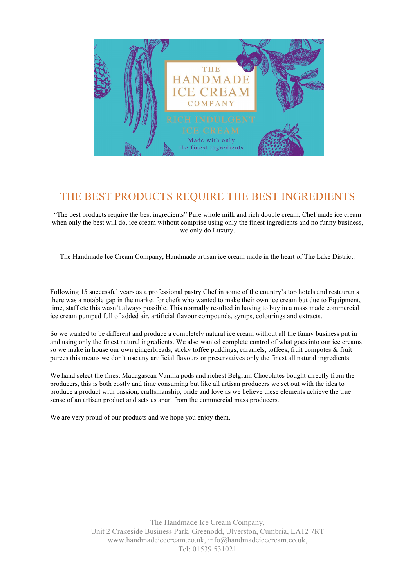

## THE BEST PRODUCTS REQUIRE THE BEST INGREDIENTS

"The best products require the best ingredients" Pure whole milk and rich double cream, Chef made ice cream when only the best will do, ice cream without comprise using only the finest ingredients and no funny business, we only do Luxury.

The Handmade Ice Cream Company, Handmade artisan ice cream made in the heart of The Lake District.

Following 15 successful years as a professional pastry Chef in some of the country's top hotels and restaurants there was a notable gap in the market for chefs who wanted to make their own ice cream but due to Equipment, time, staff etc this wasn't always possible. This normally resulted in having to buy in a mass made commercial ice cream pumped full of added air, artificial flavour compounds, syrups, colourings and extracts.

So we wanted to be different and produce a completely natural ice cream without all the funny business put in and using only the finest natural ingredients. We also wanted complete control of what goes into our ice creams so we make in house our own gingerbreads, sticky toffee puddings, caramels, toffees, fruit compotes & fruit purees this means we don't use any artificial flavours or preservatives only the finest all natural ingredients.

We hand select the finest Madagascan Vanilla pods and richest Belgium Chocolates bought directly from the producers, this is both costly and time consuming but like all artisan producers we set out with the idea to produce a product with passion, craftsmanship, pride and love as we believe these elements achieve the true sense of an artisan product and sets us apart from the commercial mass producers.

We are very proud of our products and we hope you enjoy them.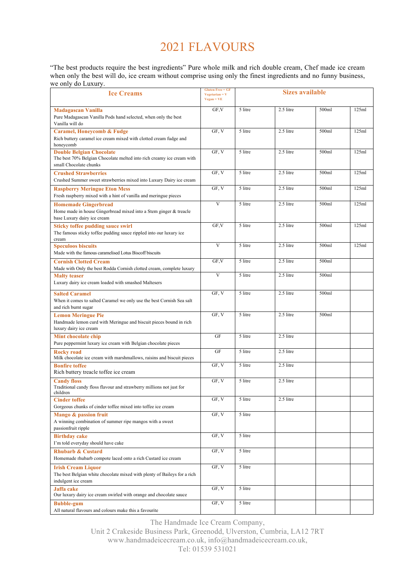## 2021 FLAVOURS

"The best products require the best ingredients" Pure whole milk and rich double cream, Chef made ice cream when only the best will do, ice cream without comprise using only the finest ingredients and no funny business, we only do Luxury.

| we omy av Luxui y.<br><b>Ice Creams</b>                                                                                            | <b>Gluten Free = GF</b><br>$Vegetarian = V$<br>$Vegan = VE$ | <b>Sizes available</b> |           |       |       |
|------------------------------------------------------------------------------------------------------------------------------------|-------------------------------------------------------------|------------------------|-----------|-------|-------|
| <b>Madagascan Vanilla</b><br>Pure Madagascan Vanilla Pods hand selected, when only the best<br>Vanilla will do                     | GF, V                                                       | 5 litre                | 2.5 litre | 500ml | 125ml |
| <b>Caramel, Honeycomb &amp; Fudge</b><br>Rich buttery caramel ice cream mixed with clotted cream fudge and<br>honeycomb            | GF, V                                                       | 5 litre                | 2.5 litre | 500ml | 125ml |
| <b>Double Belgian Chocolate</b><br>The best 70% Belgian Chocolate melted into rich creamy ice cream with<br>small Chocolate chunks | GF, V                                                       | 5 litre                | 2.5 litre | 500ml | 125ml |
| <b>Crushed Strawberries</b><br>Crushed Summer sweet strawberries mixed into Luxury Dairy ice cream                                 | GF, V                                                       | 5 litre                | 2.5 litre | 500ml | 125ml |
| <b>Raspberry Meringue Eton Mess</b><br>Fresh raspberry mixed with a hint of vanilla and meringue pieces                            | GF, V                                                       | 5 litre                | 2.5 litre | 500ml | 125ml |
| <b>Homemade Gingerbread</b><br>Home made in house Gingerbread mixed into a Stem ginger & treacle<br>base Luxury dairy ice cream    | $\overline{V}$                                              | 5 litre                | 2.5 litre | 500ml | 125ml |
| <b>Sticky toffee pudding sauce swirl</b><br>The famous sticky toffee pudding sauce rippled into our luxury ice<br>cream            | GF.V                                                        | 5 litre                | 2.5 litre | 500ml | 125ml |
| <b>Speculoos biscuits</b><br>Made with the famous caramelised Lotus Biscoff biscuits                                               | V                                                           | 5 litre                | 2.5 litre | 500ml | 125ml |
| <b>Cornish Clotted Cream</b><br>Made with Only the best Rodda Cornish clotted cream, complete luxury                               | GF, V                                                       | 5 litre                | 2.5 litre | 500ml |       |
| <b>Malty teaser</b><br>Luxury dairy ice cream loaded with smashed Maltesers                                                        | $\overline{V}$                                              | 5 litre                | 2.5 litre | 500ml |       |
| <b>Salted Caramel</b><br>When it comes to salted Caramel we only use the best Cornish Sea salt<br>and rich burnt sugar             | GF, V                                                       | 5 litre                | 2.5 litre | 500ml |       |
| <b>Lemon Meringue Pie</b><br>Handmade lemon curd with Meringue and biscuit pieces bound in rich<br>luxury dairy ice cream          | GF, V                                                       | 5 litre                | 2.5 litre | 500ml |       |
| Mint chocolate chip<br>Pure peppermint luxury ice cream with Belgian chocolate pieces                                              | GF                                                          | 5 litre                | 2.5 litre |       |       |
| <b>Rocky road</b><br>Milk chocolate ice cream with marshmallows, raisins and biscuit pieces                                        | GF                                                          | 5 litre                | 2.5 litre |       |       |
| <b>Bonfire toffee</b><br>Rich buttery treacle toffee ice cream                                                                     | GF, V                                                       | 5 litre                | 2.5 litre |       |       |
| <b>Candy floss</b><br>Traditional candy floss flavour and strawberry millions not just for<br>children                             | GF, V                                                       | 5 litre                | 2.5 litre |       |       |
| <b>Cinder toffee</b><br>Gorgeous chunks of cinder toffee mixed into toffee ice cream                                               | GF, V                                                       | 5 litre                | 2.5 litre |       |       |
| Mango & passion fruit<br>A winning combination of summer ripe mangos with a sweet<br>passionfruit ripple                           | GF, V                                                       | 5 litre                |           |       |       |
| <b>Birthday</b> cake<br>I'm told everyday should have cake                                                                         | GF, V                                                       | 5 litre                |           |       |       |
| <b>Rhubarb &amp; Custard</b><br>Homemade rhubarb compote laced onto a rich Custard ice cream                                       | GF, V                                                       | 5 litre                |           |       |       |
| <b>Irish Cream Liquor</b><br>The best Belgian white chocolate mixed with plenty of Baileys for a rich<br>indulgent ice cream       | GF, V                                                       | 5 litre                |           |       |       |
| Jaffa cake<br>Our luxury dairy ice cream swirled with orange and chocolate sauce                                                   | GF, V                                                       | 5 litre                |           |       |       |
| <b>Bubble-gum</b><br>All natural flavours and colours make this a favourite                                                        | GF, V                                                       | 5 litre                |           |       |       |

The Handmade Ice Cream Company, Unit 2 Crakeside Business Park, Greenodd, Ulverston, Cumbria, LA12 7RT www.handmadeicecream.co.uk, info@handmadeicecream.co.uk, Tel: 01539 531021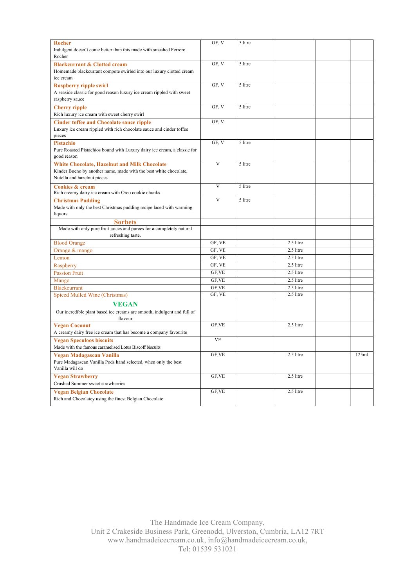|                                                                          | GF, V     |                      |             |       |
|--------------------------------------------------------------------------|-----------|----------------------|-------------|-------|
| <b>Rocher</b>                                                            |           | 5 litre              |             |       |
| Indulgent doesn't come better than this made with smashed Ferrero        |           |                      |             |       |
| Rocher                                                                   |           |                      |             |       |
| <b>Blackcurrant &amp; Clotted cream</b>                                  | GF, V     | 5 litre              |             |       |
| Homemade blackcurrant compote swirled into our luxury clotted cream      |           |                      |             |       |
| ice cream                                                                |           |                      |             |       |
|                                                                          |           |                      |             |       |
| <b>Raspberry ripple swirl</b>                                            | GF, V     | 5 litre              |             |       |
| A seaside classic for good reason luxury ice cream rippled with sweet    |           |                      |             |       |
| raspberry sauce                                                          |           |                      |             |       |
| <b>Cherry</b> ripple                                                     | GF, V     | 5 litre              |             |       |
| Rich luxury ice cream with sweet cherry swirl                            |           |                      |             |       |
|                                                                          |           |                      |             |       |
| <b>Cinder toffee and Chocolate sauce ripple</b>                          | GF, V     |                      |             |       |
| Luxury ice cream rippled with rich chocolate sauce and cinder toffee     |           |                      |             |       |
| pieces                                                                   |           |                      |             |       |
| <b>Pistachio</b>                                                         | GF, V     | 5 litre              |             |       |
| Pure Roasted Pistachios bound with Luxury dairy ice cream, a classic for |           |                      |             |       |
| good reason                                                              |           |                      |             |       |
|                                                                          |           |                      |             |       |
| White Chocolate, Hazelnut and Milk Chocolate                             | V         | $\overline{5}$ litre |             |       |
| Kinder Bueno by another name, made with the best white chocolate,        |           |                      |             |       |
| Nutella and hazelnut pieces                                              |           |                      |             |       |
|                                                                          | V         | 5 litre              |             |       |
| <b>Cookies &amp; cream</b>                                               |           |                      |             |       |
| Rich creamy dairy ice cream with Oreo cookie chunks                      |           |                      |             |       |
| <b>Christmas Pudding</b>                                                 | V         | 5 litre              |             |       |
| Made with only the best Christmas pudding recipe laced with warming      |           |                      |             |       |
| liquors                                                                  |           |                      |             |       |
| <b>Sorbets</b>                                                           |           |                      |             |       |
| Made with only pure fruit juices and purees for a completely natural     |           |                      |             |       |
| refreshing taste.                                                        |           |                      |             |       |
| <b>Blood Orange</b>                                                      | GF, VE    |                      | 2.5 litre   |       |
| Orange $&$ mango                                                         | GF, VE    |                      | $2.5$ litre |       |
| Lemon                                                                    | GF, VE    |                      | 2.5 litre   |       |
|                                                                          |           |                      |             |       |
| Raspberry                                                                | GF, VE    |                      | 2.5 litre   |       |
| <b>Passion Fruit</b>                                                     | GF, VE    |                      | 2.5 litre   |       |
| Mango                                                                    | GF, VE    |                      | 2.5 litre   |       |
| <b>Blackcurrant</b>                                                      | GF, VE    |                      | 2.5 litre   |       |
| Spiced Mulled Wine (Christmas)                                           | GF, VE    |                      | 2.5 litre   |       |
|                                                                          |           |                      |             |       |
| <b>VEGAN</b>                                                             |           |                      |             |       |
| Our incredible plant based ice creams are smooth, indulgent and full of  |           |                      |             |       |
| flavour                                                                  |           |                      |             |       |
| <b>Vegan Coconut</b>                                                     | GF, VE    |                      | 2.5 litre   |       |
| A creamy dairy free ice cream that has become a company favourite        |           |                      |             |       |
|                                                                          |           |                      |             |       |
| <b>Vegan Speculoos biscuits</b>                                          | <b>VE</b> |                      |             |       |
| Made with the famous caramelised Lotus Biscoff biscuits                  |           |                      |             |       |
| Vegan Madagascan Vanilla                                                 | GF, VE    |                      | 2.5 litre   | 125ml |
| Pure Madagascan Vanilla Pods hand selected, when only the best           |           |                      |             |       |
| Vanilla will do                                                          |           |                      |             |       |
|                                                                          |           |                      |             |       |
| <b>Vegan Strawberry</b>                                                  | GF, VE    |                      | 2.5 litre   |       |
| Crushed Summer sweet strawberries                                        |           |                      |             |       |
| <b>Vegan Belgian Chocolate</b>                                           | GF, VE    |                      | 2.5 litre   |       |
| Rich and Chocolatey using the finest Belgian Chocolate                   |           |                      |             |       |
|                                                                          |           |                      |             |       |

The Handmade Ice Cream Company, Unit 2 Crakeside Business Park, Greenodd, Ulverston, Cumbria, LA12 7RT www.handmadeicecream.co.uk, info@handmadeicecream.co.uk, Tel: 01539 531021